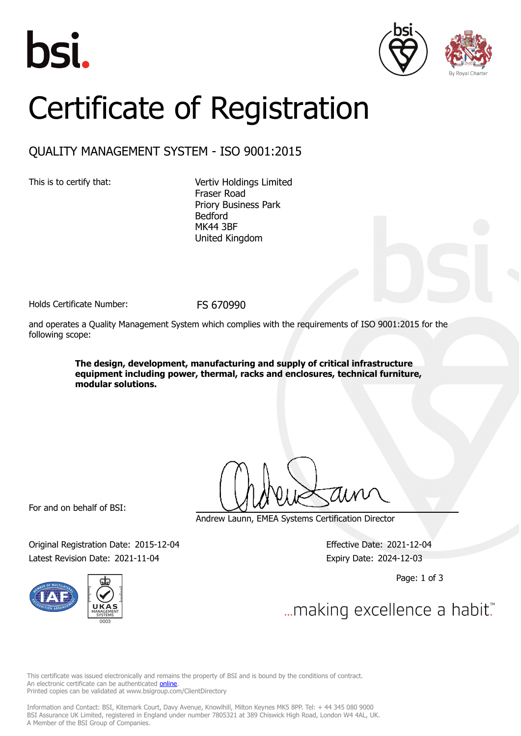





## Certificate of Registration

## QUALITY MANAGEMENT SYSTEM - ISO 9001:2015

This is to certify that: Vertiv Holdings Limited Fraser Road Priory Business Park Bedford MK44 3BF United Kingdom

Holds Certificate Number: FS 670990

and operates a Quality Management System which complies with the requirements of ISO 9001:2015 for the following scope:

> **The design, development, manufacturing and supply of critical infrastructure equipment including power, thermal, racks and enclosures, technical furniture, modular solutions.**

For and on behalf of BSI:

Andrew Launn, EMEA Systems Certification Director

Original Registration Date: 2015-12-04 Effective Date: 2021-12-04 Latest Revision Date: 2021-11-04 Expiry Date: 2024-12-03



Page: 1 of 3

... making excellence a habit.

This certificate was issued electronically and remains the property of BSI and is bound by the conditions of contract. An electronic certificate can be authenticated **[online](https://pgplus.bsigroup.com/CertificateValidation/CertificateValidator.aspx?CertificateNumber=FS+670990&ReIssueDate=04%2f11%2f2021&Template=uk)**. Printed copies can be validated at www.bsigroup.com/ClientDirectory

Information and Contact: BSI, Kitemark Court, Davy Avenue, Knowlhill, Milton Keynes MK5 8PP. Tel: + 44 345 080 9000 BSI Assurance UK Limited, registered in England under number 7805321 at 389 Chiswick High Road, London W4 4AL, UK. A Member of the BSI Group of Companies.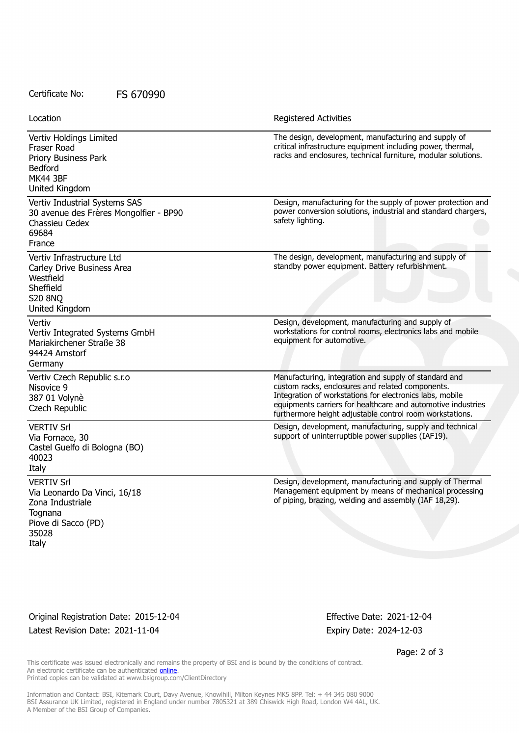## Certificate No: FS 670990

| Location                                                                                                                  | <b>Registered Activities</b>                                                                                                                                                                                                                                                                      |
|---------------------------------------------------------------------------------------------------------------------------|---------------------------------------------------------------------------------------------------------------------------------------------------------------------------------------------------------------------------------------------------------------------------------------------------|
| Vertiv Holdings Limited<br>Fraser Road<br>Priory Business Park<br><b>Bedford</b><br><b>MK44 3BF</b><br>United Kingdom     | The design, development, manufacturing and supply of<br>critical infrastructure equipment including power, thermal,<br>racks and enclosures, technical furniture, modular solutions.                                                                                                              |
| Vertiv Industrial Systems SAS<br>30 avenue des Frères Mongolfier - BP90<br>Chassieu Cedex<br>69684<br>France              | Design, manufacturing for the supply of power protection and<br>power conversion solutions, industrial and standard chargers,<br>safety lighting.                                                                                                                                                 |
| Vertiv Infrastructure Ltd<br>Carley Drive Business Area<br>Westfield<br>Sheffield<br><b>S20 8NO</b><br>United Kingdom     | The design, development, manufacturing and supply of<br>standby power equipment. Battery refurbishment.                                                                                                                                                                                           |
| Vertiv<br>Vertiv Integrated Systems GmbH<br>Mariakirchener Straße 38<br>94424 Arnstorf<br>Germany                         | Design, development, manufacturing and supply of<br>workstations for control rooms, electronics labs and mobile<br>equipment for automotive.                                                                                                                                                      |
| Vertiv Czech Republic s.r.o<br>Nisovice 9<br>387 01 Volynè<br>Czech Republic                                              | Manufacturing, integration and supply of standard and<br>custom racks, enclosures and related components.<br>Integration of workstations for electronics labs, mobile<br>equipments carriers for healthcare and automotive industries<br>furthermore height adjustable control room workstations. |
| <b>VERTIV Srl</b><br>Via Fornace, 30<br>Castel Guelfo di Bologna (BO)<br>40023<br>Italy                                   | Design, development, manufacturing, supply and technical<br>support of uninterruptible power supplies (IAF19).                                                                                                                                                                                    |
| <b>VERTIV Srl</b><br>Via Leonardo Da Vinci, 16/18<br>Zona Industriale<br>Tognana<br>Piove di Sacco (PD)<br>35028<br>Italy | Design, development, manufacturing and supply of Thermal<br>Management equipment by means of mechanical processing<br>of piping, brazing, welding and assembly (IAF 18,29).                                                                                                                       |

Original Registration Date: 2015-12-04 Effective Date: 2021-12-04 Latest Revision Date: 2021-11-04 Expiry Date: 2024-12-03

Page: 2 of 3

This certificate was issued electronically and remains the property of BSI and is bound by the conditions of contract. An electronic certificate can be authenticated **[online](https://pgplus.bsigroup.com/CertificateValidation/CertificateValidator.aspx?CertificateNumber=FS+670990&ReIssueDate=04%2f11%2f2021&Template=uk)**. Printed copies can be validated at www.bsigroup.com/ClientDirectory

Information and Contact: BSI, Kitemark Court, Davy Avenue, Knowlhill, Milton Keynes MK5 8PP. Tel: + 44 345 080 9000 BSI Assurance UK Limited, registered in England under number 7805321 at 389 Chiswick High Road, London W4 4AL, UK. A Member of the BSI Group of Companies.